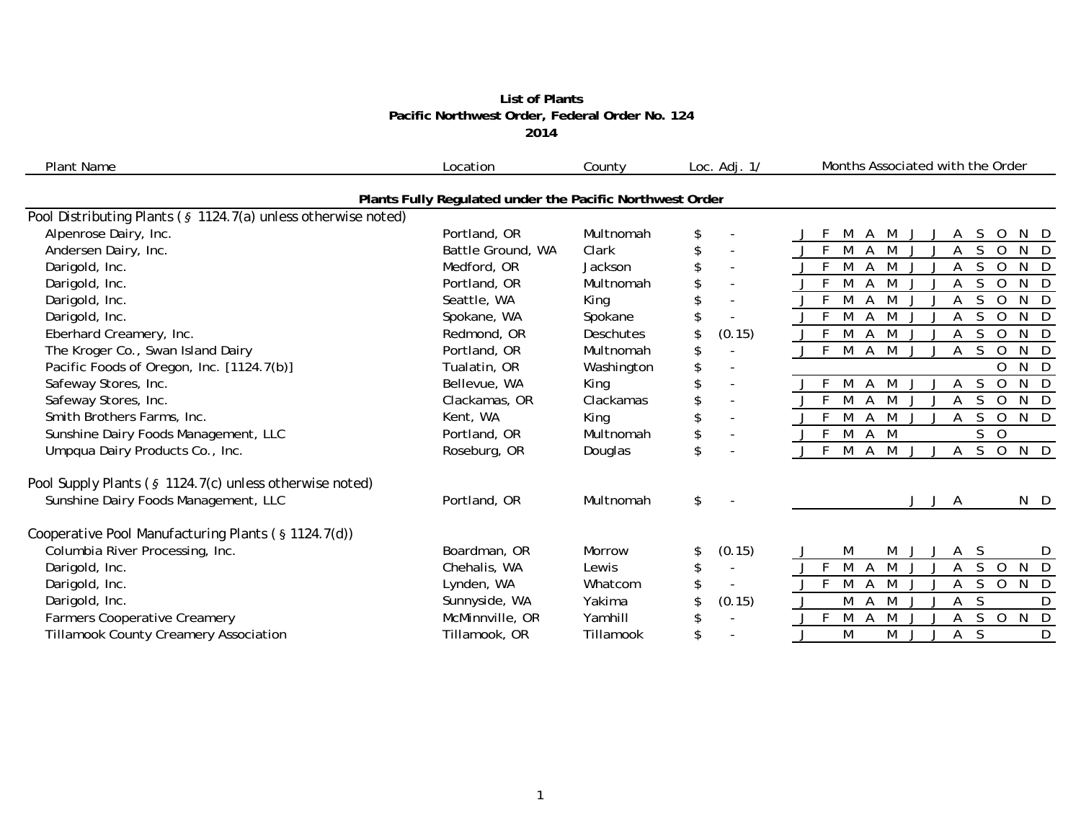## **List of Plants Pacific Northwest Order, Federal Order No. 12 4 2014**

| <b>Plant Name</b>                                             | Location                                                 | County     | Loc. Adj. 1/                   | Months Associated with the Order                                    |
|---------------------------------------------------------------|----------------------------------------------------------|------------|--------------------------------|---------------------------------------------------------------------|
|                                                               | Plants Fully Regulated under the Pacific Northwest Order |            |                                |                                                                     |
| Pool Distributing Plants (§ 1124.7(a) unless otherwise noted) |                                                          |            |                                |                                                                     |
| Alpenrose Dairy, Inc.                                         | Portland, OR                                             | Multnomah  | \$                             | S.<br>N D<br>M<br>A<br>M<br>O                                       |
| Andersen Dairy, Inc.                                          | Battle Ground, WA                                        | Clark      | \$                             | S.<br>F<br>M<br>$\Omega$<br>N D<br>A<br>M                           |
| Darigold, Inc.                                                | Medford, OR                                              | Jackson    | $\blacksquare$                 | $N$ D<br>M<br>$\Omega$<br>Α<br>S<br>M                               |
| Darigold, Inc.                                                | Portland, OR                                             | Multnomah  |                                | F<br>S<br>$N$ D<br>M<br>$\Omega$<br>M                               |
| Darigold, Inc.                                                | Seattle, WA                                              | King       | $\blacksquare$                 | $N$ D<br>M<br>Α<br>S.<br>$\mathbf 0$<br>M                           |
| Darigold, Inc.                                                | Spokane, WA                                              | Spokane    |                                | F<br>S<br>N D<br>M<br>$\Omega$                                      |
| Eberhard Creamery, Inc.                                       | Redmond, OR                                              | Deschutes  | (0.15)<br>\$                   | N D<br>F<br>M<br>A<br>S.<br>$\Omega$<br>M                           |
| The Kroger Co., Swan Island Dairy                             | Portland, OR                                             | Multnomah  | \$                             | $N$ D<br>$\bar{F}$<br>M<br>S.<br>A<br>M<br>$\Omega$<br>$\mathbf{I}$ |
| Pacific Foods of Oregon, Inc. [1124.7(b)]                     | Tualatin, OR                                             | Washington | \$<br>$\overline{\phantom{a}}$ | N D<br>O                                                            |
| Safeway Stores, Inc.                                          | Bellevue, WA                                             | King       | \$<br>$\overline{\phantom{a}}$ | $N$ D<br>$\Omega$                                                   |
| Safeway Stores, Inc.                                          | Clackamas, OR                                            | Clackamas  | $\blacksquare$                 | M<br>N D<br>-F<br>Α<br>$\Omega$<br>M                                |
| Smith Brothers Farms, Inc.                                    | Kent, WA                                                 | King       | $\blacksquare$                 | N D<br>S<br>$\circ$<br>M<br>Α<br>M                                  |
| Sunshine Dairy Foods Management, LLC                          | Portland, OR                                             | Multnomah  | \$<br>$\overline{\phantom{a}}$ | S<br>F.<br>M<br>$\overline{O}$<br>A<br>M                            |
| Umpqua Dairy Products Co., Inc.                               | Roseburg, OR                                             | Douglas    | \$                             | N D<br>F<br>M<br>M<br>S<br>Α<br>A<br>$\mathbf 0$<br>J               |
| Pool Supply Plants (§ 1124.7(c) unless otherwise noted)       |                                                          |            |                                |                                                                     |
| Sunshine Dairy Foods Management, LLC                          | Portland, OR                                             | Multnomah  | \$                             | N D<br>A<br>J                                                       |
| Cooperative Pool Manufacturing Plants (§ 1124.7(d))           |                                                          |            |                                |                                                                     |
| Columbia River Processing, Inc.                               | Boardman, OR                                             | Morrow     | (0.15)<br>S.                   | M<br>M<br>A S<br>D                                                  |
| Darigold, Inc.                                                | Chehalis, WA                                             | Lewis      | \$<br>$\overline{\phantom{a}}$ | M<br>S<br>F.<br>M<br>N D<br>Α<br>$\overline{O}$                     |
| Darigold, Inc.                                                | Lynden, WA                                               | Whatcom    |                                | M<br>S.<br>$N$ D<br>A<br>M<br>$\circ$<br>A                          |
| Darigold, Inc.                                                | Sunnyside, WA                                            | Yakima     | (0.15)                         | M<br>S<br>A<br>M<br>D                                               |
| <b>Farmers Cooperative Creamery</b>                           | McMinnville, OR                                          | Yamhill    | R                              | $N$ D<br>F<br>M<br>S.<br>$\circ$<br>Α<br>M                          |
| <b>Tillamook County Creamery Association</b>                  | Tillamook, OR                                            | Tillamook  | \$                             | M<br>S<br>D<br>M<br>Α                                               |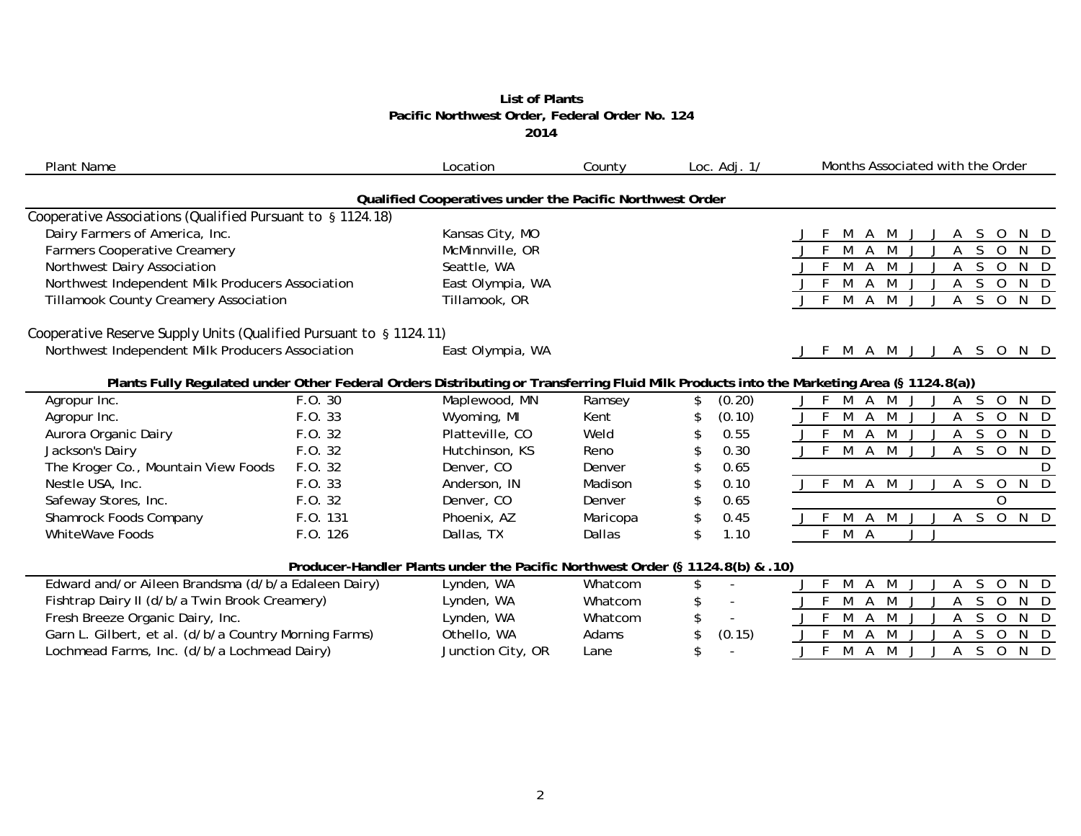## **List of Plants Pacific Northwest Order, Federal Order No. 12 4 2014**

| <b>Plant Name</b>                                                  |          | Location                                                                      | County   | Loc. $Adj. 1/$ | Months Associated with the Order                                                                                                         |
|--------------------------------------------------------------------|----------|-------------------------------------------------------------------------------|----------|----------------|------------------------------------------------------------------------------------------------------------------------------------------|
|                                                                    |          | Qualified Cooperatives under the Pacific Northwest Order                      |          |                |                                                                                                                                          |
| Cooperative Associations (Qualified Pursuant to § 1124.18)         |          |                                                                               |          |                |                                                                                                                                          |
| Dairy Farmers of America, Inc.                                     |          | Kansas City, MO                                                               |          |                | <sub>S</sub><br>O<br>A M                                                                                                                 |
| <b>Farmers Cooperative Creamery</b>                                |          | McMinnville, OR                                                               |          |                | S.<br>D.<br>$\Omega$                                                                                                                     |
| Northwest Dairy Association                                        |          | Seattle, WA                                                                   |          |                | M<br>S.<br>$\Omega$<br>N.<br>- D<br>A                                                                                                    |
| Northwest Independent Milk Producers Association                   |          | East Olympia, WA                                                              |          |                | -F<br>M<br>M<br>S.<br>$\Omega$<br>N D<br>$\mathsf{A}$                                                                                    |
| <b>Tillamook County Creamery Association</b>                       |          | Tillamook, OR                                                                 |          |                | M<br>M<br>S<br>-F<br>$\overline{A}$<br>Α<br>$\overline{O}$<br>$N$ D<br>$\mathbf{J}$<br>$\cdot$                                           |
| Cooperative Reserve Supply Units (Qualified Pursuant to § 1124.11) |          |                                                                               |          |                |                                                                                                                                          |
| Northwest Independent Milk Producers Association                   |          | East Olympia, WA                                                              |          |                | M A M J J A S O<br>N D                                                                                                                   |
|                                                                    |          |                                                                               |          |                | Plants Fully Regulated under Other Federal Orders Distributing or Transferring Fluid Milk Products into the Marketing Area (§ 1124.8(a)) |
| Agropur Inc.                                                       | F.O. 30  | Maplewood, MN                                                                 | Ramsey   | \$<br>(0.20)   | F<br>M<br>S.<br>$\overline{O}$<br>N D<br>A<br>M<br>Α                                                                                     |
| Agropur Inc.                                                       | F.O. 33  | Wyoming, MI                                                                   | Kent     | (0.10)<br>\$   | M<br>S<br>$\overline{O}$<br>A M<br>N D<br>A                                                                                              |
| Aurora Organic Dairy                                               | F.O. 32  | Platteville, CO                                                               | Weld     | 0.55           | S<br>M<br>M<br>$\overline{0}$<br>N D<br>A<br>A                                                                                           |
| Jackson's Dairy                                                    | F.O. 32  | Hutchinson, KS                                                                | Reno     | 0.30<br>\$     | $\overline{M}$<br>$A \overline{M}$<br>$\overline{S}$<br>$\overline{0}$<br>$N$ D<br>A                                                     |
| The Kroger Co., Mountain View Foods                                | F.O. 32  | Denver, CO                                                                    | Denver   | 0.65<br>\$     | D                                                                                                                                        |
| Nestle USA, Inc.                                                   | F.O. 33  | Anderson, IN                                                                  | Madison  | 0.10<br>\$     | M A<br>M<br><sub>S</sub><br>N D<br>J F<br>Α<br>$\overline{O}$<br>J                                                                       |
| Safeway Stores, Inc.                                               | F. O. 32 | Denver, CO                                                                    | Denver   | 0.65<br>\$     | $\Omega$                                                                                                                                 |
| Shamrock Foods Company                                             | F.O. 131 | Phoenix, AZ                                                                   | Maricopa | \$<br>0.45     | A M<br>$\overline{0}$<br>$N$ D<br>M<br>A<br>S.<br>J                                                                                      |
| <b>WhiteWave Foods</b>                                             | F.O. 126 | Dallas, TX                                                                    | Dallas   | \$<br>1.10     | F<br>M A<br>$J - J$                                                                                                                      |
|                                                                    |          | Producer-Handler Plants under the Pacific Northwest Order (§ 1124.8(b) & .10) |          |                |                                                                                                                                          |
| Edward and/or Aileen Brandsma (d/b/a Edaleen Dairy)                |          | Lynden, WA                                                                    | Whatcom  | \$             | M<br>A M<br>S<br>N D<br>A<br>$\Omega$<br>$\mathbf{I}$                                                                                    |
| Fishtrap Dairy II (d/b/a Twin Brook Creamery)                      |          | Lynden, WA                                                                    | Whatcom  | \$             | M<br><sub>S</sub><br>M<br>$\mathbf 0$<br>N D<br>A                                                                                        |
| Fresh Breeze Organic Dairy, Inc.                                   |          | Lynden, WA                                                                    | Whatcom  | \$             | M<br>N<br>M<br>S.<br>$\Omega$<br>$\mathsf{D}$<br>A                                                                                       |
| Garn L. Gilbert, et al. (d/b/a Country Morning Farms)              |          | Othello, WA                                                                   | Adams    | \$<br>(0.15)   | M<br>A M<br>S<br>$\overline{O}$<br>N D<br>J<br>Α                                                                                         |
| Lochmead Farms, Inc. (d/b/a Lochmead Dairy)                        |          | Junction City, OR                                                             | Lane     | \$             | M<br>M<br>$S$ O<br>N D<br>$\mathsf{A}$<br>$\mathsf{A}$<br>$\mathbf{I}$                                                                   |
|                                                                    |          |                                                                               |          |                |                                                                                                                                          |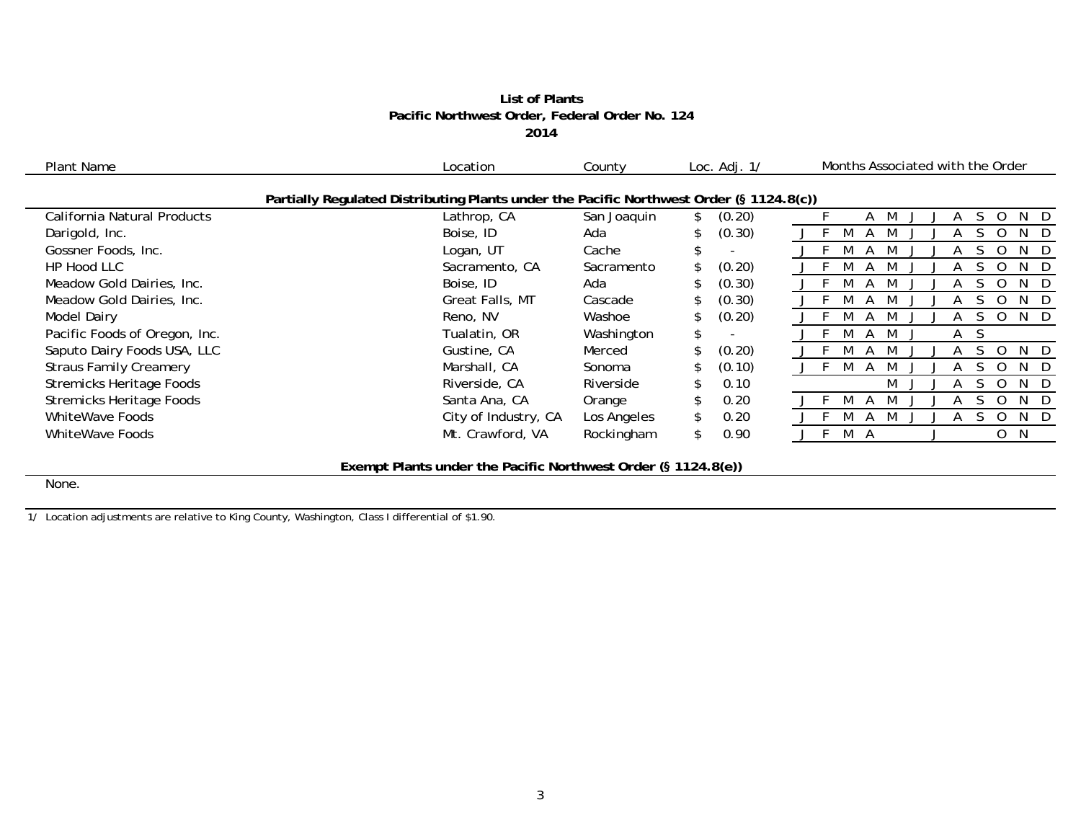# **List of Plants Pacific Northwest Order, Federal Order No. 12 4 2014**

| Plant Name                      | Location                                                                                | County      | Loc. $Adj. 1/$ | Months Associated with the Order        |
|---------------------------------|-----------------------------------------------------------------------------------------|-------------|----------------|-----------------------------------------|
|                                 | Partially Regulated Distributing Plants under the Pacific Northwest Order (§ 1124.8(c)) |             |                |                                         |
| California Natural Products     | Lathrop, CA                                                                             | San Joaquin | (0.20)         | N.<br>D<br>A                            |
| Darigold, Inc.                  | Boise, ID                                                                               | Ada         | (0.30)         | N.<br>D                                 |
| Gossner Foods, Inc.             | Logan, UT                                                                               | Cache       |                | D<br>N                                  |
| HP Hood LLC                     | Sacramento, CA                                                                          | Sacramento  | (0.20)         | N<br>- D                                |
| Meadow Gold Dairies, Inc.       | Boise, ID                                                                               | Ada         | (0.30)         | N<br>-D                                 |
| Meadow Gold Dairies, Inc.       | Great Falls, MT                                                                         | Cascade     | (0.30)         | N<br>- D                                |
| <b>Model Dairy</b>              | Reno, NV                                                                                | Washoe      | (0.20)         | N D                                     |
| Pacific Foods of Oregon, Inc.   | Tualatin, OR                                                                            | Washington  | \$             | A<br>M<br>$\mathsf{A}$<br>$\mathcal{L}$ |
| Saputo Dairy Foods USA, LLC     | Gustine, CA                                                                             | Merced      | (0.20)         | D<br>N.                                 |
| <b>Straus Family Creamery</b>   | Marshall, CA                                                                            | Sonoma      | (0.10)         | N.<br>D                                 |
| <b>Stremicks Heritage Foods</b> | Riverside, CA                                                                           | Riverside   | 0.10           | - D<br>M<br>N                           |
| <b>Stremicks Heritage Foods</b> | Santa Ana, CA                                                                           | Orange      | 0.20           | N<br>- D                                |
| WhiteWave Foods                 | City of Industry, CA                                                                    | Los Angeles | 0.20           | N.<br>D                                 |
| WhiteWave Foods                 | Mt. Crawford, VA                                                                        | Rockingham  | 0.90<br>\$.    | M A<br>0<br>- N                         |
|                                 |                                                                                         |             |                |                                         |

**Exempt Plants under the Pacific Northwest Order (§ 1124.8(e))**

None.

1/ Location adjustments are relative to King County, Washington, Class I differential of \$1.90.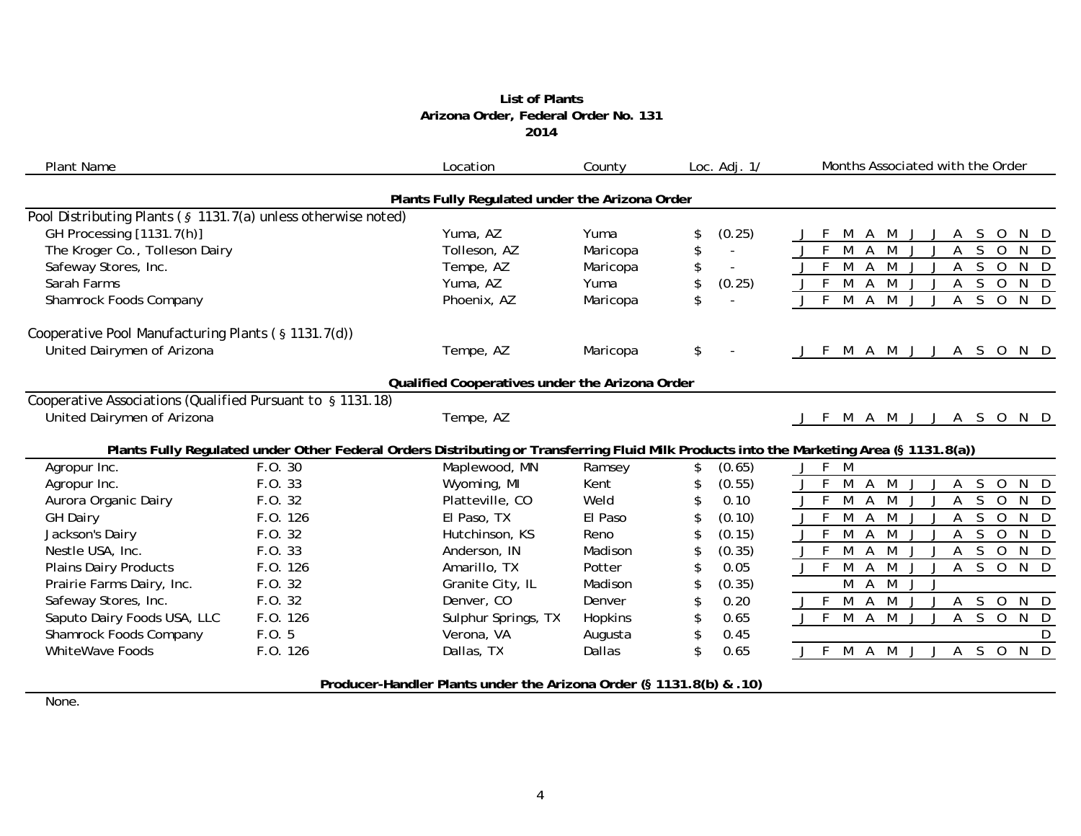## **List of Plants Arizona Order, Federal Order No. 131 2014**

| <b>Plant Name</b>                                             |          | Location                                                            | County   | Loc. $Adj. 1/$ | Months Associated with the Order                                                                                                         |
|---------------------------------------------------------------|----------|---------------------------------------------------------------------|----------|----------------|------------------------------------------------------------------------------------------------------------------------------------------|
|                                                               |          | Plants Fully Regulated under the Arizona Order                      |          |                |                                                                                                                                          |
| Pool Distributing Plants (§ 1131.7(a) unless otherwise noted) |          |                                                                     |          |                |                                                                                                                                          |
| GH Processing [1131.7(h)]                                     |          | Yuma, AZ                                                            | Yuma     | \$<br>(0.25)   | M<br>S.<br>$\overline{O}$<br>M<br>A<br>A                                                                                                 |
| The Kroger Co., Tolleson Dairy                                |          | Tolleson, AZ                                                        | Maricopa | \$<br>$\sim$   | F<br>M<br>$\overline{A}$<br>M<br>S.<br>A<br>$\Omega$<br>N<br>$\Box$                                                                      |
| Safeway Stores, Inc.                                          |          | Tempe, AZ                                                           | Maricopa | \$             | $\overline{A}$<br>M<br>S<br>M<br>$\overline{O}$<br>N D<br>A                                                                              |
| Sarah Farms                                                   |          | Yuma, AZ                                                            | Yuma     | \$<br>(0.25)   | M<br>N D<br>M<br>S<br>$\overline{0}$<br>$\mathsf{A}$<br>A                                                                                |
| Shamrock Foods Company                                        |          | Phoenix, AZ                                                         | Maricopa | \$             | $M$ $A$ $M$<br>$\overline{\mathsf{S}}$<br>$N$ D<br>$J$ F<br>$\mathsf{A}$<br>$\overline{O}$<br>J                                          |
| Cooperative Pool Manufacturing Plants (§ 1131.7(d))           |          |                                                                     |          |                |                                                                                                                                          |
| United Dairymen of Arizona                                    |          | Tempe, AZ                                                           | Maricopa | \$             | M A M J J A S O N D<br>J F                                                                                                               |
|                                                               |          | Qualified Cooperatives under the Arizona Order                      |          |                |                                                                                                                                          |
| Cooperative Associations (Qualified Pursuant to § 1131.18)    |          |                                                                     |          |                |                                                                                                                                          |
| United Dairymen of Arizona                                    |          | Tempe, AZ                                                           |          |                | M A M J J A S O N D<br>-F                                                                                                                |
|                                                               |          |                                                                     |          |                | Plants Fully Regulated under Other Federal Orders Distributing or Transferring Fluid Milk Products into the Marketing Area (§ 1131.8(a)) |
| Agropur Inc.                                                  | F.O. 30  | Maplewood, MN                                                       | Ramsey   | \$<br>(0.65)   | F<br>M<br>$\mathbf{J}$                                                                                                                   |
| Agropur Inc.                                                  | F.O. 33  | Wyoming, MI                                                         | Kent     | \$<br>(0.55)   | M<br>M<br>A<br>S<br>$\overline{0}$<br>$N$ D<br>Α                                                                                         |
| Aurora Organic Dairy                                          | F.0.32   | Platteville, CO                                                     | Weld     | 0.10           | M<br>M<br>S<br>N<br>-F<br>A<br>$\overline{O}$<br>А<br>- D<br>J                                                                           |
| <b>GH Dairy</b>                                               | F.O. 126 | El Paso, TX                                                         | El Paso  | (0.10)<br>S    | F.<br>M<br>$\overline{A}$<br>M<br>S<br>$\overline{0}$<br>$N$ D<br>A                                                                      |
| Jackson's Dairy                                               | F.O. 32  | Hutchinson, KS                                                      | Reno     | (0.15)         | M<br>S<br>N<br>F<br>M<br>Α<br>$\Omega$<br>Α<br>- D                                                                                       |
| Nestle USA, Inc.                                              | F.O. 33  | Anderson, IN                                                        | Madison  | (0.35)<br>\$   | $J \overline{F}$<br>M<br>M<br>S.<br>$N$ D<br>A<br>Α<br>$\overline{0}$                                                                    |
| <b>Plains Dairy Products</b>                                  | F.O. 126 | Amarillo, TX                                                        | Potter   | 0.05<br>\$     | M<br>$A$ S O<br>$N$ D<br>$J \bar{F}$<br>M<br>A<br>$\bigcup$                                                                              |
| Prairie Farms Dairy, Inc.                                     | F.O. 32  | Granite City, IL                                                    | Madison  | (0.35)<br>\$   | M<br>A<br>M<br>J                                                                                                                         |
| Safeway Stores, Inc.                                          | F.O. 32  | Denver, CO                                                          | Denver   | 0.20<br>\$     | $A$ M<br>$A \quad S \quad O$<br>$J$ F<br>M<br>N D<br>$\Box$<br>$\Box$                                                                    |
| Saputo Dairy Foods USA, LLC                                   | F.O. 126 | Sulphur Springs, TX                                                 | Hopkins  | 0.65<br>\$     | $\overline{N}$ D<br>M A M<br>A S O<br>J F<br>$\perp$<br>$\cdot$                                                                          |
| <b>Shamrock Foods Company</b>                                 | F.O. 5   | Verona, VA                                                          | Augusta  | 0.45<br>\$     | D                                                                                                                                        |
| <b>WhiteWave Foods</b>                                        | F.O. 126 | Dallas, TX                                                          | Dallas   | \$<br>0.65     | M A M<br>A S O N D<br>J F<br>JJ                                                                                                          |
|                                                               |          | Producer-Handler Plants under the Arizona Order (§ 1131.8(b) & .10) |          |                |                                                                                                                                          |

None.